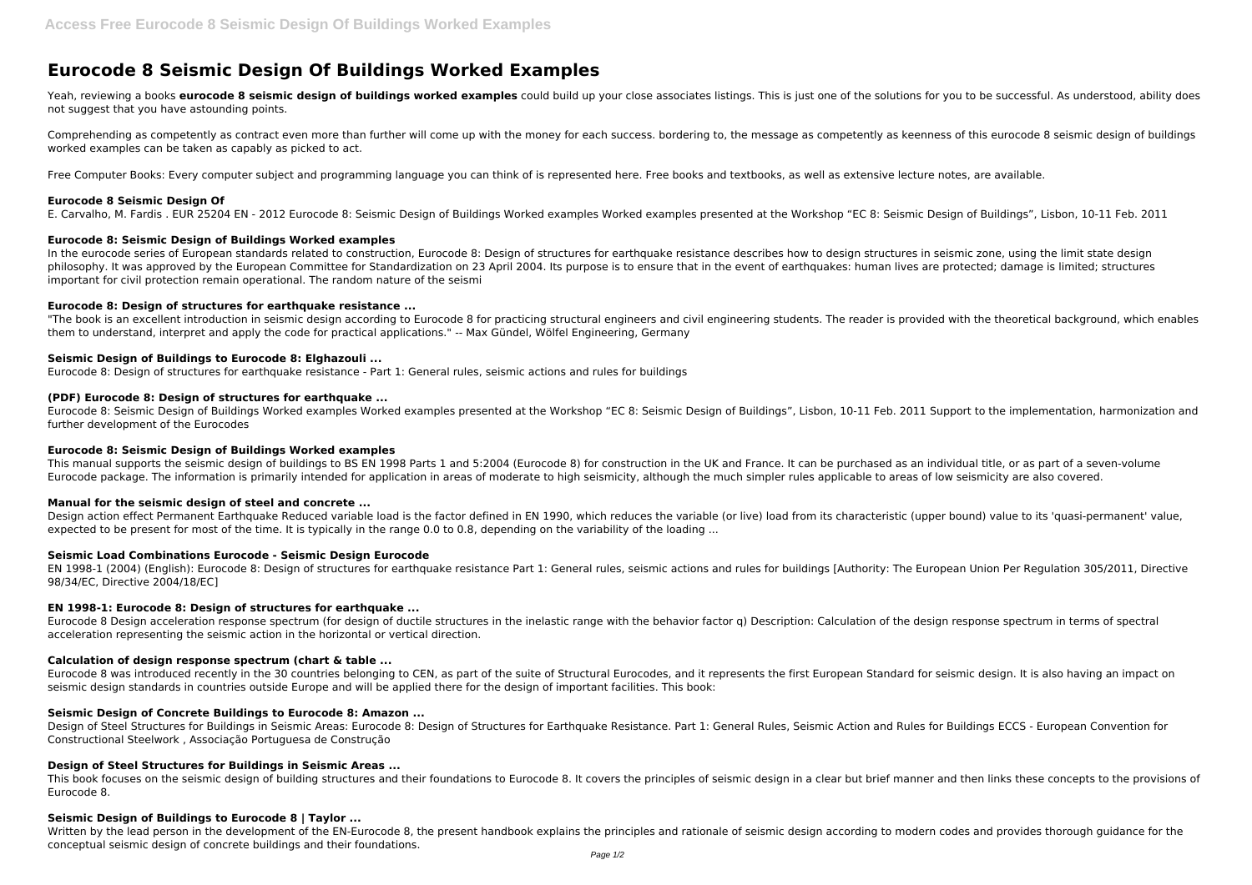# **Eurocode 8 Seismic Design Of Buildings Worked Examples**

Yeah, reviewing a books **eurocode 8 seismic design of buildings worked examples** could build up your close associates listings. This is just one of the solutions for you to be successful. As understood, ability does not suggest that you have astounding points.

Comprehending as competently as contract even more than further will come up with the money for each success. bordering to, the message as competently as keenness of this eurocode 8 seismic design of buildings worked examples can be taken as capably as picked to act.

Free Computer Books: Every computer subject and programming language you can think of is represented here. Free books and textbooks, as well as extensive lecture notes, are available.

In the eurocode series of European standards related to construction, Eurocode 8: Design of structures for earthquake resistance describes how to design structures in seismic zone, using the limit state design philosophy. It was approved by the European Committee for Standardization on 23 April 2004. Its purpose is to ensure that in the event of earthquakes: human lives are protected; damage is limited; structures important for civil protection remain operational. The random nature of the seismi

# **Eurocode 8 Seismic Design Of**

E. Carvalho, M. Fardis . EUR 25204 EN - 2012 Eurocode 8: Seismic Design of Buildings Worked examples Worked examples presented at the Workshop "EC 8: Seismic Design of Buildings", Lisbon, 10-11 Feb. 2011

"The book is an excellent introduction in seismic design according to Eurocode 8 for practicing structural engineers and civil engineering students. The reader is provided with the theoretical background, which enables them to understand, interpret and apply the code for practical applications." -- Max Gündel, Wölfel Engineering, Germany

# **Eurocode 8: Seismic Design of Buildings Worked examples**

Design action effect Permanent Earthquake Reduced variable load is the factor defined in EN 1990, which reduces the variable (or live) load from its characteristic (upper bound) value to its 'quasi-permanent' value, expected to be present for most of the time. It is typically in the range 0.0 to 0.8, depending on the variability of the loading ...

# **Eurocode 8: Design of structures for earthquake resistance ...**

# **Seismic Design of Buildings to Eurocode 8: Elghazouli ...**

Eurocode 8: Design of structures for earthquake resistance - Part 1: General rules, seismic actions and rules for buildings

Eurocode 8 was introduced recently in the 30 countries belonging to CEN, as part of the suite of Structural Eurocodes, and it represents the first European Standard for seismic design. It is also having an impact on seismic design standards in countries outside Europe and will be applied there for the design of important facilities. This book:

# **(PDF) Eurocode 8: Design of structures for earthquake ...**

Eurocode 8: Seismic Design of Buildings Worked examples Worked examples presented at the Workshop "EC 8: Seismic Design of Buildings", Lisbon, 10-11 Feb. 2011 Support to the implementation, harmonization and further development of the Eurocodes

#### **Eurocode 8: Seismic Design of Buildings Worked examples**

This book focuses on the seismic design of building structures and their foundations to Eurocode 8. It covers the principles of seismic design in a clear but brief manner and then links these concepts to the provisions of Eurocode 8.

Written by the lead person in the development of the EN-Eurocode 8, the present handbook explains the principles and rationale of seismic design according to modern codes and provides thorough guidance for the conceptual seismic design of concrete buildings and their foundations.

This manual supports the seismic design of buildings to BS EN 1998 Parts 1 and 5:2004 (Eurocode 8) for construction in the UK and France. It can be purchased as an individual title, or as part of a seven-volume Eurocode package. The information is primarily intended for application in areas of moderate to high seismicity, although the much simpler rules applicable to areas of low seismicity are also covered.

#### **Manual for the seismic design of steel and concrete ...**

#### **Seismic Load Combinations Eurocode - Seismic Design Eurocode**

EN 1998-1 (2004) (English): Eurocode 8: Design of structures for earthquake resistance Part 1: General rules, seismic actions and rules for buildings [Authority: The European Union Per Regulation 305/2011, Directive 98/34/EC, Directive 2004/18/EC]

# **EN 1998-1: Eurocode 8: Design of structures for earthquake ...**

Eurocode 8 Design acceleration response spectrum (for design of ductile structures in the inelastic range with the behavior factor q) Description: Calculation of the design response spectrum in terms of spectral acceleration representing the seismic action in the horizontal or vertical direction.

### **Calculation of design response spectrum (chart & table ...**

#### **Seismic Design of Concrete Buildings to Eurocode 8: Amazon ...**

Design of Steel Structures for Buildings in Seismic Areas: Eurocode 8: Design of Structures for Earthquake Resistance. Part 1: General Rules, Seismic Action and Rules for Buildings ECCS - European Convention for Constructional Steelwork , Associação Portuguesa de Construção

# **Design of Steel Structures for Buildings in Seismic Areas ...**

#### **Seismic Design of Buildings to Eurocode 8 | Taylor ...**